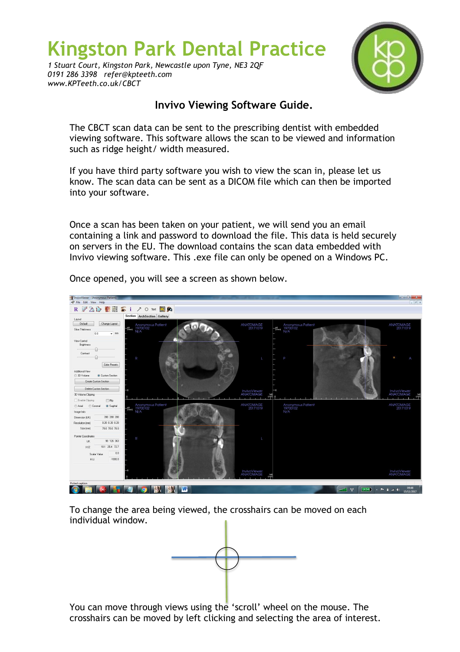## **Kingston Park Dental Practice**

*1 Stuart Court, Kingston Park, Newcastle upon Tyne, NE3 2QF 0191 286 3398 refer@kpteeth.com www.KPTeeth.co.uk/CBCT*



## **Invivo Viewing Software Guide.**

The CBCT scan data can be sent to the prescribing dentist with embedded viewing software. This software allows the scan to be viewed and information such as ridge height/ width measured.

If you have third party software you wish to view the scan in, please let us know. The scan data can be sent as a DICOM file which can then be imported into your software.

Once a scan has been taken on your patient, we will send you an email containing a link and password to download the file. This data is held securely on servers in the EU. The download contains the scan data embedded with Invivo viewing software. This .exe file can only be opened on a Windows PC.



Once opened, you will see a screen as shown below.

To change the area being viewed, the crosshairs can be moved on each individual window.



You can move through views using the 'scroll' wheel on the mouse. The crosshairs can be moved by left clicking and selecting the area of interest.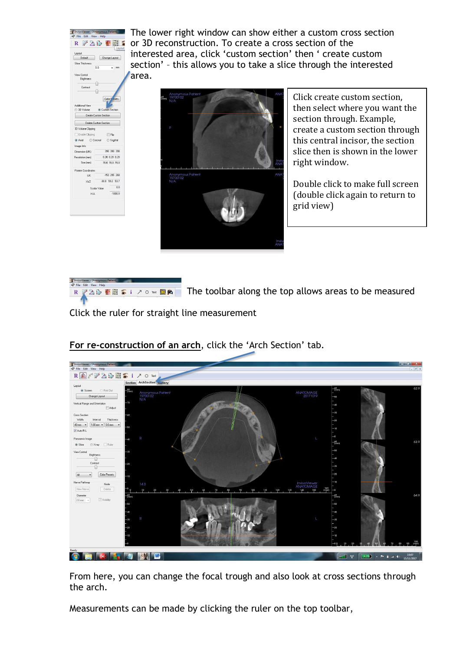

The lower right window can show either a custom cross section or 3D reconstruction. To create a cross section of the interested area, click 'custom section' then ' create custom section' – this allows you to take a slice through the interested area.



Click create custom section, then select where you want the section through. Example, create a custom section through this central incisor, the section slice then is shown in the lower right window.

Double click to make full screen (double click again to return to grid view)



R  $\sqrt{220}$  FHs i  $70$  M  $\blacksquare$  The toolbar along the top allows areas to be measured

Click the ruler for straight line measurement

| InvivoViewer - [Anonymous Patient]                                  |                             |                                      |          |                  |                           |                                                 |        | $-6$ X                                               |
|---------------------------------------------------------------------|-----------------------------|--------------------------------------|----------|------------------|---------------------------|-------------------------------------------------|--------|------------------------------------------------------|
| File Edit View Help                                                 |                             |                                      |          |                  |                           |                                                 |        | $ \theta$ x                                          |
| RAY 20015170mx                                                      |                             |                                      |          |                  |                           |                                                 |        |                                                      |
| Layout                                                              | Section ArchSection ballery |                                      |          |                  |                           |                                                 |        |                                                      |
| Print But<br>Screen                                                 | $\frac{50}{(mm)}$           |                                      |          |                  |                           | $\frac{60}{(mm)}$                               |        | 62.9                                                 |
| Change Layout                                                       |                             | Anonymous Patient<br>19700102<br>N/A |          |                  | ANATOMAGE<br>20171019     | -50                                             |        |                                                      |
| Vertical Range and Drientation                                      | 70                          |                                      |          |                  |                           | $-\infty$                                       |        |                                                      |
| Adjust                                                              |                             |                                      |          |                  |                           |                                                 |        |                                                      |
| Cross Section                                                       | ٨C                          |                                      |          |                  |                           | $-30$                                           |        |                                                      |
| Width<br>Thickness<br>Interval                                      |                             |                                      |          |                  |                           | $-20$                                           |        |                                                      |
| 40 mm -<br>1.00 mm $\blacktriangledown$ 0.0 mm $\blacktriangledown$ |                             |                                      |          |                  |                           | $-10$                                           |        |                                                      |
| Auto R-L                                                            |                             |                                      |          |                  |                           |                                                 |        |                                                      |
| Panoramic Image                                                     | R                           |                                      |          |                  |                           | $\overline{\phantom{0}}$                        |        |                                                      |
| Ruler<br>Slice<br>X-ray                                             |                             |                                      |          |                  |                           | $\frac{60}{(mm)}$                               |        | 63.9                                                 |
| View Control                                                        | aг                          |                                      |          |                  |                           | $-50$                                           |        |                                                      |
| Brightness<br>0                                                     |                             |                                      |          |                  |                           | -40                                             |        |                                                      |
| Contrast                                                            | οn                          |                                      |          |                  |                           |                                                 |        |                                                      |
|                                                                     |                             |                                      |          |                  |                           | $-20$                                           |        |                                                      |
| Color Presets<br>AL                                                 | -10                         |                                      |          |                  |                           | $-20$                                           |        |                                                      |
| Nerve Pathway<br>Node                                               | 140                         |                                      |          |                  | InvivoViewer<br>ANATOMAGE | $-10$                                           |        |                                                      |
| Delete<br>New Nerve                                                 | ļΟ                          | 20                                   | 80<br>70 | 90<br>100<br>110 | 140<br>150<br>130         | $\frac{160}{(m m)}$<br>$\overline{\phantom{a}}$ |        |                                                      |
| Diameter                                                            | $\frac{60}{(mm)}$           |                                      |          |                  |                           | $\frac{60}{(mm)}$                               |        | 64.9                                                 |
| Visibility<br>$2.0 \text{ mm}$ $\sim$                               |                             |                                      |          |                  |                           |                                                 |        |                                                      |
|                                                                     |                             |                                      |          |                  |                           | $-60$                                           |        |                                                      |
|                                                                     | df                          |                                      |          |                  |                           | $-40$                                           |        |                                                      |
|                                                                     | R                           |                                      |          |                  |                           | $-30$                                           |        |                                                      |
|                                                                     |                             |                                      |          |                  |                           | $-20$                                           |        |                                                      |
|                                                                     |                             |                                      |          |                  |                           |                                                 |        |                                                      |
|                                                                     |                             |                                      |          |                  |                           | -10                                             |        |                                                      |
|                                                                     |                             |                                      |          |                  |                           |                                                 |        |                                                      |
| Ready                                                               |                             |                                      |          |                  |                           |                                                 |        |                                                      |
|                                                                     |                             | W                                    |          |                  |                           |                                                 | n<br>℡ | 10:07<br>ad. $\langle \varphi \rangle$<br>15/11/2017 |

**For re-construction of an arch**, click the 'Arch Section' tab.

From here, you can change the focal trough and also look at cross sections through the arch.

Measurements can be made by clicking the ruler on the top toolbar,